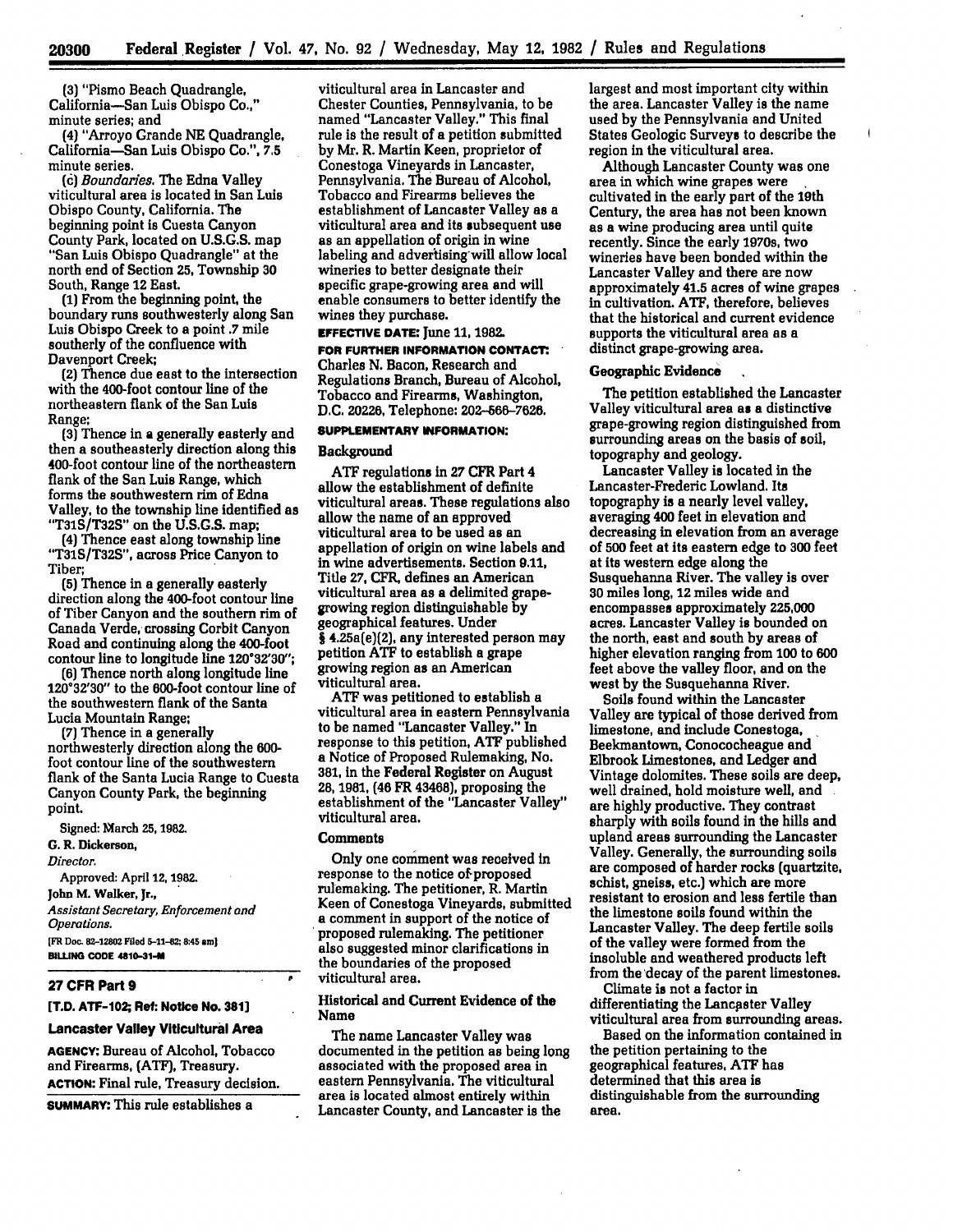**(3)** "Pismo Beach Quadrangle, California-San Luis Obispo Co.," minute series; and

(4) "Arroyo Grande **NE** Quadrangle, California--San Luis Obispo Co.", **7.5** minute series.

*(0) Boundaries.* The Edna Valley viticultural area is located in San Luis Obispo County, California. The beginning point is Cuesta Canyon County Park, located on **U.S.G.S.** map "San Luis Obispo Quadrangle" at the north end of Section **25,** Township **30** South, Range 12 East.

**(1)** From the beginning point, the boundary runs southwesterly along San Luis Obispo Creek to a point .7 mile southerly of the confluence with Davenport Creek;

(2) Thence due east to the Intersection with the 400-foot contour line of the northeastern flank of the San **Luis** Range;

**(3)** Thence in a generally easterly and then a southeasterly direction along this 400-foot contour line of the northeastern flank of the San Luis Range, which forms the southwestern rim of Edna Valley, to the township line identified as **"T31S/T32S"** on the **U.S.G.S.** map;

(4) Thence east along township line **"T31S/T32S",** across Price Canyon to Tiber;

**(5)** Thence in a generally easterly direction along the 400-foot contour line of Tiber Canyon and the southern rim of Canada Verde, crossing Corbit Canyon Road and continuing along the 400-foot contour line to longitude line **120°32'30";**

**(6]** Thence north along longitude line **120°32'30"** to the 600-foot contour line of the southwestern flank of the Santa Lucia Mountain Range;

**(7)** Thence in a generally northwesterly direction along the **600** foot contour line of the southwestern flank of the Santa Lucia Range to Cuesta Canyon County Park, the beginning point.

Signed: March **25, 1982. G.** R. Dickerson, *Director.* Approved: April 12, **1982.** John M. Walker, Jr., *Assistant Secretary, Enforcement and Operations.* **[FR Doc. 82-12802 Filed 5-11-82; 8:45 am]**

**BILUNG CODE 4810-31-M**

### **27 CFR Part 9**

### **[T.D. ATF-102; Ret: Notice No. 381]**

#### **Lancaster Valley Viticultural Area**

**AGENCY: Bureau** of Alcohol, Tobacco and Firearms, **(ATF),** Treasury. **ACTION:** Final rule, Treasury decision.

SUMMARY: This rule establishes a

viticultural area in Lancaster and Chester Counties, Pennsylvania, to be named "Lancaster Valley." This final rule is the result of a petition submitted **by** Mr. R. Martin Keen, proprietor of Conestoga Vineyards in Lancaster, Pennsylvania. The Bureau of Alcohol, Tobacco and Firearms believes the establishment of Lancaster Valley as a viticultural area and its subsequent use as an appellation of origin in wine labeling and advertising-will allow local wineries to better designate their specific grape-growing area and will enable consumers to better identify the wines they purchase.

# **EFFECTIVE DATE:** June **11,** 1982.

**FOR FURTHER INFORMATION CONTACT':** Charles **N.** Bacon, Research and Regulations Branch, Bureau of Alcohol, Tobacco and Firearms, Washington, D.C. 20226, Telephone: **202-566-7626.**

# **SUPPLEMENTARY INFORMATION:**

#### Background

**ATF** regulations in **27** CFR Part 4 allow the establishment of definite viticultural areas. These regulations also allow the name of an approved viticultural area to be used as an appellation of origin on wine labels and in wine advertisements. Section **9.11,** Title **27,** CFR. defines an American viticultural area as a delimited grapegrowing region distinguishable **by** geographical features. Under § 4.25a(e)(2), any interested person may petition **AIT** to establish a grape growing region as an American viticultural area.

ATF was petitioned to establish a viticultural area in eastern Pennsylvania to be named "Lancaster Valley." In response to this petition, ATF published a Notice of Proposed Rulemaking, No. **381,** in the Federal Register on August **28, 1981,** (46 FR 43468), proposing the establishment of the "Lancaster Valley" viticultural area.

# **Comments**

Only one comment was received in response to the notice of proposed rulemaking. The petitioner, R. Martin Keen of Conestoga Vineyards, submitted a comment in support of the notice of proposed rulemaking. The petitioner also suggested minor clarifications in the boundaries of the proposed viticultural area.

### Historical and Current Evidence of the Name

The name Lancaster Valley was documented in the petition as being long associated with the proposed area in eastern Pennsylvania. The viticultural area is located almost entirely within Lancaster County, and Lancaster is the

largest and most important city within the area. Lancaster Valley is the name used by the Pennsylvania and United States Geologic Surveys to describe the region in the viticultural area.

Although Lancaster County was one area in which wine grapes were cultivated in the early part of the 19th Century, the area has not been known as a wine producing area until quite recently. Since the early 1970s, two wineries have been bonded within the Lancaster Valley and there are now approximately 41.5 acres of wine grapes in cultivation. **ATF,** therefore, believes that the historical and current evidence supports the viticultural area as a distinct grape-growing area.

# Geographic Evidence

The petition established the Lancaster Valley viticultural area as a distinctive grape-growing region distinguished from surrounding areas on the basis **of** sol, topography and geology.

Lancaster Valley is located in the Lancaster-Frederic Lowland. Its topography is a nearly level valley, averaging 400 feet in elevation and decreasing in elevation from an average of **500** feet at its eastern edge to **300** feet at its western edge along the Susquehanna River. The valley is over **30** miles long, 12 miles wide and encompasses approximately **225,000** acres. Lancaster Valley is bounded on the north, east and south **by** areas of higher elevation ranging from **100** to **600** feet above the valley floor, and on the west **by** the Susquehanna River.

Soils found within the Lancaster Valley are typical of those derived from limestone, and include Conestoga, Beekmantown, Conococheague and Elbrook Limestones, and Ledger and Vintage dolomites. These soils are deep, well drained, hold moisture well, and are highly productive. They contrast sharply with soils found in the hills and upland areas surrounding the Lancaster Valley. Generally, the surrounding soils are composed of harder rocks (quartzite, schist, gneiss, etc.) which are more resistant to erosion and less fertile than the limestone soils found within the Lancaster Valley. The deep fertile soils of the valley were formed from the insoluble and weathered products left from the decay of the parent limestones.

Climate is not a factor in differentiating the Lancaster Valley viticultural area from surrounding areas.

Based on the information contained in the petition pertaining to the geographical features, **ATF** has determined that this area is distinguishable from the surrounding area.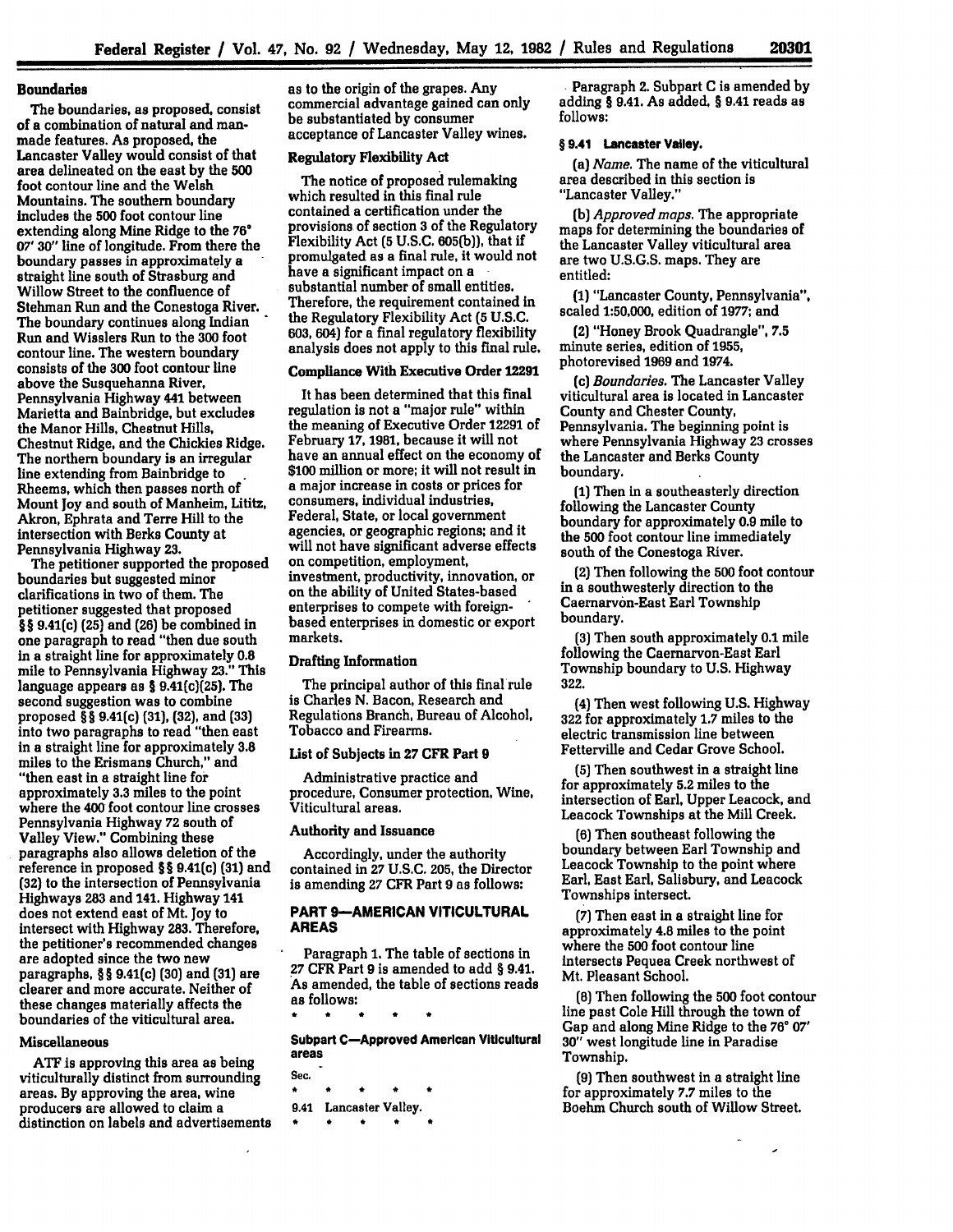## **Boundaries**

The boundaries, as proposed, consist of a combination of natural and manmade features. As proposed, the Lancaster Valley would consist of that area delineated on the east **by** the **500** foot contour line and the Welsh Mountains. The southern boundary includes the **500** foot contour line extending along Mine Ridge to the **76' 07' 30"** line of longitude. From there the boundary passes in approximately a straight line south of Strasburg and Willow Street to the confluence of Stehman Run and the Conestoga River. The boundary continues along Indian Run and Wisslers Run to the **300** foot contour line. The western boundary consists of the **300** foot contour line above the Susquehanna River, Pennsylvania Highway 441 between Marietta and Bainbridge, but excludes the Manor Hills, Chestnut Hills, Chestnut Ridge, and the Chickies Ridge. The northern boundary is an irregular line extending from Bainbridge to Rheems, which then passes north of Mount **joy** and south of Manheim, Lititz, Akron, Ephrata and Terre Hill to the intersection with Berks County at Pennsylvania Highway **23.**

The petitioner supported the proposed boundaries but suggested minor clarifications in two of them. The petitioner suggested that proposed **§ §** 9.41(c) **(25)** and **(26)** be combined in one paragraph to read "then due south in a straight line for approximately **0.8** mile to Pennsylvania Highway **23."** This language appears as **§** 9.41(c)(25). The second suggestion was to combine proposed § § 9.41(c) **(31), (32),** and **(33)** into two paragraphs to read "then east in a straight line for approximately **3.8** miles to the Erismans Church," and "then east in a straight line for approximately **3.3** miles to the point where the 400 foot contour line crosses Pennsylvania Highway **72** south of Valley View." Combining these paragraphs also allows deletion of the reference in proposed **§** § 9.41(c) **(31)** and **(32)** to the intersection of Pennsylvania Highways **283** and 141. Highway 141 does not extend east of Mt. Joy to intersect with Highway **283.** Therefore, the petitioner's recommended changes are adopted since the two new paragraphs, **§ §** 9.41(c) **(30)** and **(31)** are clearer and more accurate. Neither of these changes materially affects the boundaries of the viticultural area.

### **Miscellaneous**

**ATF** is approving this area as being viticulturally distinct from surrounding areas. **By** approving the area, wine producers are allowed to claim a distinction on labels and advertisements as to the origin of the grapes. Any commercial advantage gained can only be substantiated **by** consumer acceptance of Lancaster Valley wines.

### Regulatory Flexibility **Act**

The notice of proposed rulemaking which resulted in this final rule contained a certification under the provisions of section **3** of the Regulatory Flexibility Act **(5 U.S.C. 605(b)],** that if promulgated as a final rule, it would not have a significant impact on a substantial number of small entities. Therefore, the requirement contained in the Regulatory Flexibility Act **(5 U.S.C. 603,** 604) for a final regulatory flexibility analysis does not apply to this final rule.

# Compliance With Executive Order **12291**

It has been determined that this final regulation is not a "major **rule"** within the meaning of Executive Order **12291** of February **17, 1981,** because it will not have an annual effect on the economy of **\$100** million or more; it will not result in a major increase in costs or prices for consumers, individual industries, Federal, State, or local government agencies, or geographic regions; and it will not have significant adverse effects on competition, employment, investment, productivity, innovation, or on the ability of United States-based enterprises to compete with foreignbased enterprises in domestic or export markets.

## **Drafting Information**

The principal author of this final rule is Charles **N.** Bacon, Research and Regulations Branch, Bureau of Alcohol, Tobacco and Firearms.

## List of Subjects in **27** CFR Part **9**

Administrative practice and procedure, Consumer protection, Wine, Viticultural areas.

#### **Authority and Issuance**

Accordingly, under the authority contained in **27 U.S.C. 205,** the Director is amending **27** CFR Part **9** as follows:

# **PART 9-AMERICAN VITICULTURAL AREAS**

Paragraph **1.** The table of sections in **27** CFR Part **9** is amended to add **§** 9.41. As amended, the table of sections reads as follows:

**Subpart C-Approved American Viticultural**

- **areas Sec.**  $\bullet$
- 9.41 Lancaster Valley.

**.** Paragraph 2. Subpart **C** is amended **by** adding § 9.41. As added, § 9.41 reads as **follows:**

# **§ 9.41** Lancaster **Valley.**

(a) *Name.* The name of the viticultural area described in this section is "Lancaster Valley."

**(b)** *Approved maps.* The appropriate maps for determining the boundaries of the Lancaster Valley viticultural area are two **U.S.G.S.** maps. They are entitled:

**(1)** "Lancaster County, Pennsylvania", scaled **1:50,000,** edition of **1977;** and

(2) "Honey Brook Quadrangle", **7.5** minute series, edition of **1955,** photorevised **1969** and 1974.

(c) *Boundaries.* The Lancaster Valley viticultural area is located in Lancaster County and Chester County, Pennsylvania. The beginning point is where Pennsylvania Highway **23** crosses the Lancaster and Berks County boundary.

**(1)** Then in a southeasterly direction following the Lancaster County boundary for approximately **0.9** mile to the **500** foot contour line immediately south of the Conestoga River.

(2) Then following the **500** foot contour in a southwesterly direction to the Caernarvon-East Earl Township boundary.

(3) Then south approximately **0.1** mile following the Caernarvon-East Earl Township boundary to **U.S.** Highway **322.**

(4) Then west following **U.S.** Highway 322 for approximately **1.7** miles to the electric transmission line between Fetterville and Cedar Grove School.

**(5)** Then southwest in a straight line for approximately **5.2** miles to the intersection of Earl, Upper Leacock, and Leacock Townships at the Mill Creek.

**(6)** Then southeast following the boundary between Earl Township and Leacock Township to the point where Earl, East Earl, Salisbury, and Leacock Townships intersect.

(7) Then east in a straight line for approximately 4.8 miles to the point where the **500** foot contour line intersects Pequea Creek northwest of Mt. Pleasant School.

**(8)** Then following the **500** foot contour line past Cole Hill through the town of Gap and along Mine Ridge to the **76' 07' 30"** west longitude line in Paradise Township.

**(9)** Then southwest in a straight line for approximately **7.7** miles to the Boehm Church south of Willow Street